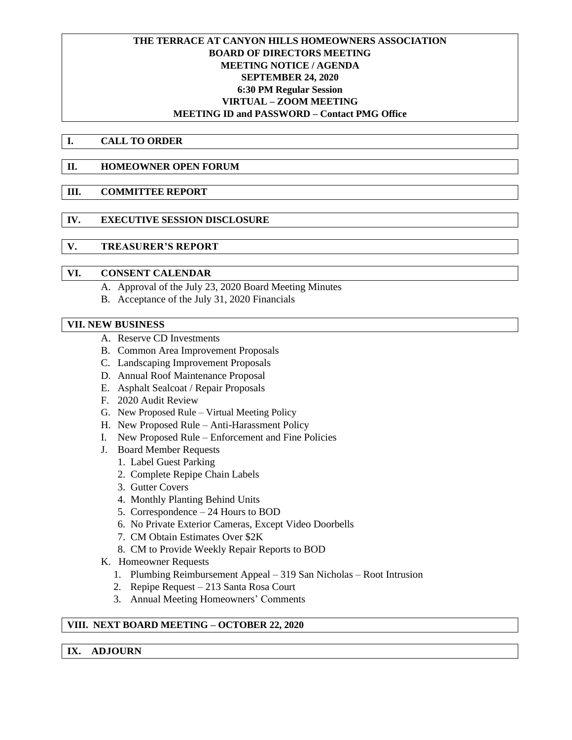# **THE TERRACE AT CANYON HILLS HOMEOWNERS ASSOCIATION BOARD OF DIRECTORS MEETING MEETING NOTICE / AGENDA SEPTEMBER 24, 2020 6:30 PM Regular Session VIRTUAL – ZOOM MEETING MEETING ID and PASSWORD – Contact PMG Office**

**I. CALL TO ORDER**

# **II. HOMEOWNER OPEN FORUM**

# **III. COMMITTEE REPORT**

**IV. EXECUTIVE SESSION DISCLOSURE**

# **V. TREASURER'S REPORT**

# **VI. CONSENT CALENDAR**

- A. Approval of the July 23, 2020 Board Meeting Minutes
- B. Acceptance of the July 31, 2020 Financials

# **VII. NEW BUSINESS**

- A. Reserve CD Investments
- B. Common Area Improvement Proposals
- C. Landscaping Improvement Proposals
- D. Annual Roof Maintenance Proposal
- E. Asphalt Sealcoat / Repair Proposals
- F. 2020 Audit Review
- G. New Proposed Rule Virtual Meeting Policy
- H. New Proposed Rule Anti-Harassment Policy
- I. New Proposed Rule Enforcement and Fine Policies
- J. Board Member Requests
	- 1. Label Guest Parking
	- 2. Complete Repipe Chain Labels
	- 3. Gutter Covers
	- 4. Monthly Planting Behind Units
	- 5. Correspondence 24 Hours to BOD
	- 6. No Private Exterior Cameras, Except Video Doorbells
	- 7. CM Obtain Estimates Over \$2K
	- 8. CM to Provide Weekly Repair Reports to BOD
- K. Homeowner Requests
	- 1. Plumbing Reimbursement Appeal 319 San Nicholas Root Intrusion
	- 2. Repipe Request 213 Santa Rosa Court
	- 3. Annual Meeting Homeowners' Comments

# **VIII. NEXT BOARD MEETING – OCTOBER 22, 2020**

#### **IX. ADJOURN**